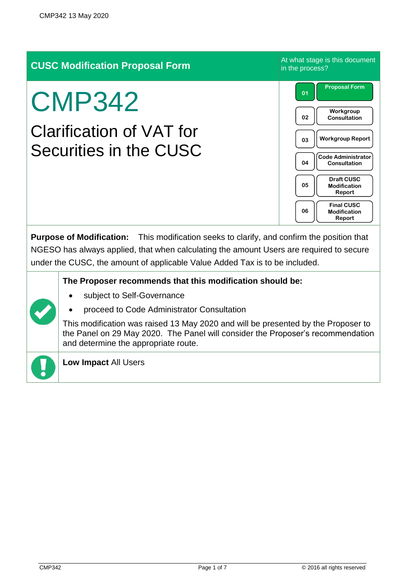| <b>CUSC Modification Proposal Form</b>                                                                                                                                                                                                                               |                                                                                                                                                                                                                                                                                                                                                       | At what stage is this document<br>in the process?                                                                                                                                                                                                                                       |  |
|----------------------------------------------------------------------------------------------------------------------------------------------------------------------------------------------------------------------------------------------------------------------|-------------------------------------------------------------------------------------------------------------------------------------------------------------------------------------------------------------------------------------------------------------------------------------------------------------------------------------------------------|-----------------------------------------------------------------------------------------------------------------------------------------------------------------------------------------------------------------------------------------------------------------------------------------|--|
| <b>CMP342</b><br><b>Clarification of VAT for</b><br>Securities in the CUSC                                                                                                                                                                                           |                                                                                                                                                                                                                                                                                                                                                       | <b>Proposal Form</b><br>01<br>Workgroup<br>02<br><b>Consultation</b><br><b>Workgroup Report</b><br>03<br><b>Code Administrator</b><br>04<br><b>Consultation</b><br><b>Draft CUSC</b><br>05<br><b>Modification</b><br>Report<br><b>Final CUSC</b><br>06<br><b>Modification</b><br>Report |  |
| Purpose of Modification: This modification seeks to clarify, and confirm the position that<br>NGESO has always applied, that when calculating the amount Users are required to secure<br>under the CUSC, the amount of applicable Value Added Tax is to be included. |                                                                                                                                                                                                                                                                                                                                                       |                                                                                                                                                                                                                                                                                         |  |
|                                                                                                                                                                                                                                                                      | The Proposer recommends that this modification should be:<br>subject to Self-Governance<br>proceed to Code Administrator Consultation<br>This modification was raised 13 May 2020 and will be presented by the Proposer to<br>the Panel on 29 May 2020. The Panel will consider the Proposer's recommendation<br>and determine the appropriate route. |                                                                                                                                                                                                                                                                                         |  |
|                                                                                                                                                                                                                                                                      | Low Impact All Users                                                                                                                                                                                                                                                                                                                                  |                                                                                                                                                                                                                                                                                         |  |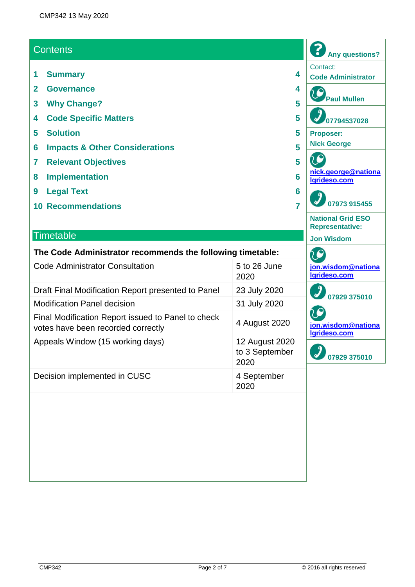#### **Contents**

- **1 Summary 4**
- **2 Governance 4**
- **3 Why Change? 5**
- **4 Code Specific Matters 5**
- **5 Solution 5**
- **6 Impacts & Other Considerations 5**
- **7 Relevant Objectives 5**
- **8 Implementation 6**
- **9 Legal Text 6**
- **10 Recommendations 7**

#### **Timetable**

| The Code Administrator recommends the following timetable: |               |  |
|------------------------------------------------------------|---------------|--|
| Code Administrator Consultation                            | $E + 26$ lung |  |

| Code Administrator Consultation                                                          | $500$ 20 June<br>2020                    |  |
|------------------------------------------------------------------------------------------|------------------------------------------|--|
| Draft Final Modification Report presented to Panel                                       | 23 July 2020                             |  |
| <b>Modification Panel decision</b>                                                       | 31 July 2020                             |  |
| Final Modification Report issued to Panel to check<br>votes have been recorded correctly | 4 August 2020                            |  |
| Appeals Window (15 working days)                                                         | 12 August 2020<br>to 3 September<br>2020 |  |
| Decision implemented in CUSC                                                             | 4 September<br>2020                      |  |

**07794537028 Proposer: Nick George** 20 **[nick.george@nationa](mailto:nick.george@nationalgrideso.com) [lgrideso.com](mailto:nick.george@nationalgrideso.com) 07973 915455 National Grid ESO Representative: Jon Wisdom** C **[jon.wisdom@nationa](mailto:jon.wisdom@nationalgrideso.com) [lgrideso.com](mailto:jon.wisdom@nationalgrideso.com) 07929 375010 [jon.wisdom@nationa](mailto:jon.wisdom@nationalgrideso.com) [lgrideso.com](mailto:jon.wisdom@nationalgrideso.com) 07929 375010**

**Any questions?**

**Code Administrator**

**Paul Mullen**

Contact:

?

LC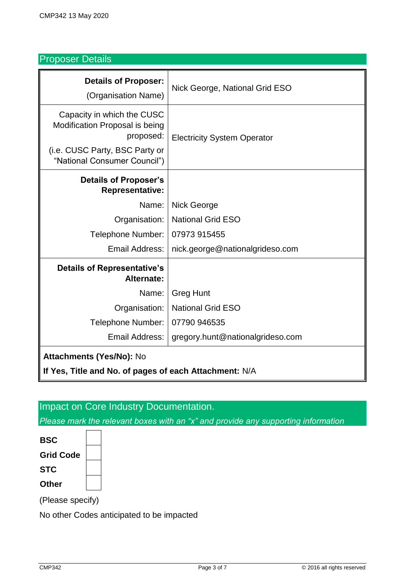# Proposer Details

| <b>Details of Proposer:</b><br>(Organisation Name)                                                          | Nick George, National Grid ESO     |  |  |
|-------------------------------------------------------------------------------------------------------------|------------------------------------|--|--|
| Capacity in which the CUSC<br>Modification Proposal is being<br>proposed:<br>(i.e. CUSC Party, BSC Party or | <b>Electricity System Operator</b> |  |  |
| "National Consumer Council")                                                                                |                                    |  |  |
| <b>Details of Proposer's</b><br><b>Representative:</b>                                                      |                                    |  |  |
| Name:                                                                                                       | Nick George                        |  |  |
| Organisation:                                                                                               | <b>National Grid ESO</b>           |  |  |
| <b>Telephone Number:</b>                                                                                    | 07973 915455                       |  |  |
| Email Address:                                                                                              | nick.george@nationalgrideso.com    |  |  |
| <b>Details of Representative's</b><br><b>Alternate:</b>                                                     |                                    |  |  |
| Name:                                                                                                       | <b>Greg Hunt</b>                   |  |  |
| Organisation:                                                                                               | <b>National Grid ESO</b>           |  |  |
| Telephone Number:                                                                                           | 07790 946535                       |  |  |
| Email Address:                                                                                              | gregory.hunt@nationalgrideso.com   |  |  |
| <b>Attachments (Yes/No): No</b>                                                                             |                                    |  |  |
| If Yes, Title and No. of pages of each Attachment: N/A                                                      |                                    |  |  |

# Impact on Core Industry Documentation.

*Please mark the relevant boxes with an "x" and provide any supporting information*

| BSC              |  |
|------------------|--|
| <b>Grid Code</b> |  |
| <b>STC</b>       |  |
| Other            |  |

(Please specify)

No other Codes anticipated to be impacted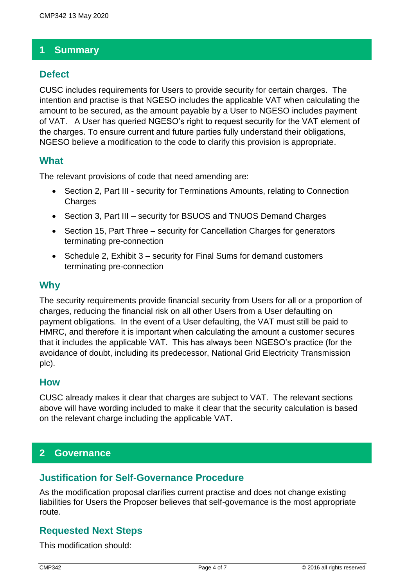### **1 Summary**

### **Defect**

CUSC includes requirements for Users to provide security for certain charges. The intention and practise is that NGESO includes the applicable VAT when calculating the amount to be secured, as the amount payable by a User to NGESO includes payment of VAT. A User has queried NGESO's right to request security for the VAT element of the charges. To ensure current and future parties fully understand their obligations, NGESO believe a modification to the code to clarify this provision is appropriate.

#### **What**

The relevant provisions of code that need amending are:

- Section 2, Part III security for Terminations Amounts, relating to Connection **Charges**
- Section 3, Part III security for BSUOS and TNUOS Demand Charges
- Section 15, Part Three security for Cancellation Charges for generators terminating pre-connection
- Schedule 2, Exhibit 3 security for Final Sums for demand customers terminating pre-connection

#### **Why**

The security requirements provide financial security from Users for all or a proportion of charges, reducing the financial risk on all other Users from a User defaulting on payment obligations. In the event of a User defaulting, the VAT must still be paid to HMRC, and therefore it is important when calculating the amount a customer secures that it includes the applicable VAT. This has always been NGESO's practice (for the avoidance of doubt, including its predecessor, National Grid Electricity Transmission plc).

#### **How**

CUSC already makes it clear that charges are subject to VAT. The relevant sections above will have wording included to make it clear that the security calculation is based on the relevant charge including the applicable VAT.

### **2 Governance**

### **Justification for Self-Governance Procedure**

As the modification proposal clarifies current practise and does not change existing liabilities for Users the Proposer believes that self-governance is the most appropriate route.

### **Requested Next Steps**

This modification should: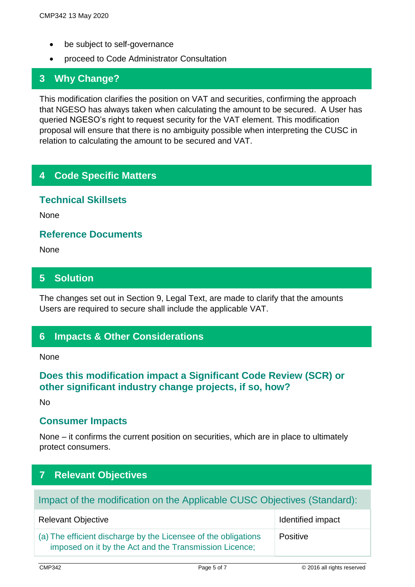- be subject to self-governance
- proceed to Code Administrator Consultation

### **3 Why Change?**

This modification clarifies the position on VAT and securities, confirming the approach that NGESO has always taken when calculating the amount to be secured. A User has queried NGESO's right to request security for the VAT element. This modification proposal will ensure that there is no ambiguity possible when interpreting the CUSC in relation to calculating the amount to be secured and VAT.

### **4 Code Specific Matters**

#### **Technical Skillsets**

None

**Reference Documents**

None

### **5 Solution**

The changes set out in Section 9, Legal Text, are made to clarify that the amounts Users are required to secure shall include the applicable VAT.

### **6 Impacts & Other Considerations**

**None** 

### **Does this modification impact a Significant Code Review (SCR) or other significant industry change projects, if so, how?**

 $N<sub>0</sub>$ 

### **Consumer Impacts**

None – it confirms the current position on securities, which are in place to ultimately protect consumers.

# **7 Relevant Objectives**

# Impact of the modification on the Applicable CUSC Objectives (Standard):

| <b>Relevant Objective</b>                                                                                                | Identified impact |
|--------------------------------------------------------------------------------------------------------------------------|-------------------|
| (a) The efficient discharge by the Licensee of the obligations<br>imposed on it by the Act and the Transmission Licence; | Positive          |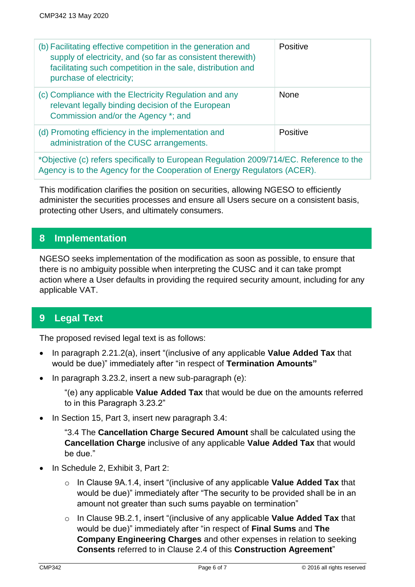| (b) Facilitating effective competition in the generation and<br>supply of electricity, and (so far as consistent therewith)<br>facilitating such competition in the sale, distribution and<br>purchase of electricity; | Positive    |
|------------------------------------------------------------------------------------------------------------------------------------------------------------------------------------------------------------------------|-------------|
| (c) Compliance with the Electricity Regulation and any<br>relevant legally binding decision of the European<br>Commission and/or the Agency *; and                                                                     | <b>None</b> |
| (d) Promoting efficiency in the implementation and<br>administration of the CUSC arrangements.                                                                                                                         | Positive    |

\*Objective (c) refers specifically to European Regulation 2009/714/EC. Reference to the Agency is to the Agency for the Cooperation of Energy Regulators (ACER).

This modification clarifies the position on securities, allowing NGESO to efficiently administer the securities processes and ensure all Users secure on a consistent basis, protecting other Users, and ultimately consumers.

### **8 Implementation**

NGESO seeks implementation of the modification as soon as possible, to ensure that there is no ambiguity possible when interpreting the CUSC and it can take prompt action where a User defaults in providing the required security amount, including for any applicable VAT.

## **9 Legal Text**

The proposed revised legal text is as follows:

- In paragraph 2.21.2(a), insert "(inclusive of any applicable **Value Added Tax** that would be due)" immediately after "in respect of **Termination Amounts"**
- In paragraph 3.23.2, insert a new sub-paragraph (e):

"(e) any applicable **Value Added Tax** that would be due on the amounts referred to in this Paragraph 3.23.2"

• In Section 15, Part 3, insert new paragraph 3.4:

"3.4 The **Cancellation Charge Secured Amount** shall be calculated using the **Cancellation Charge** inclusive of any applicable **Value Added Tax** that would be due."

- In Schedule 2, Exhibit 3, Part 2:
	- o In Clause 9A.1.4, insert "(inclusive of any applicable **Value Added Tax** that would be due)" immediately after "The security to be provided shall be in an amount not greater than such sums payable on termination"
	- o In Clause 9B.2.1, insert "(inclusive of any applicable **Value Added Tax** that would be due)" immediately after "in respect of **Final Sums** and **The Company Engineering Charges** and other expenses in relation to seeking **Consents** referred to in Clause 2.4 of this **Construction Agreement**"